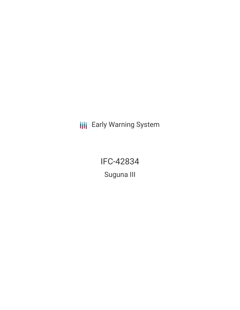**III** Early Warning System

IFC-42834 Suguna III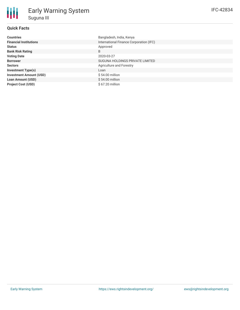## **Quick Facts**

| <b>Countries</b>               | Bangladesh, India, Kenya                |
|--------------------------------|-----------------------------------------|
| <b>Financial Institutions</b>  | International Finance Corporation (IFC) |
| <b>Status</b>                  | Approved                                |
| <b>Bank Risk Rating</b>        | B                                       |
| <b>Voting Date</b>             | 2020-03-27                              |
| <b>Borrower</b>                | SUGUNA HOLDINGS PRIVATE LIMITED         |
| <b>Sectors</b>                 | Agriculture and Forestry                |
| <b>Investment Type(s)</b>      | Loan                                    |
| <b>Investment Amount (USD)</b> | $$54.00$ million                        |
| <b>Loan Amount (USD)</b>       | $$54.00$ million                        |
| <b>Project Cost (USD)</b>      | \$67.20 million                         |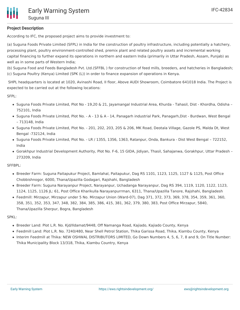# **Project Description**

According to IFC, the proposed project aims to provide investment to:

(a) Suguna Foods Private Limited (SFPL) in India for the construction of poultry infrastructure, including potentially a hatchery, processing plant, poultry environment-controlled shed, premix plant and related poultry assets and incremental working capital financing to further expand its operations in northern and eastern India (primarily in Uttar Pradesh, Assam, Punjab) as well as in some parts of Western India;

(b) Suguna Food and Feeds Bangladesh Pvt. Ltd.(SFFBL ) for construction of feed mills, breeders, and hatcheries in Bangladesh; (c) Suguna Poultry (Kenya) Limited (SPK (L)) in order to finance expansion of operations in Kenya.

SHPL headquarters is located at 1020, Avinashi Road, II floor, Above AUDI Showroom, Coimbatore 641018 India. The Project is expected to be carried out at the following locations:

SFPL:

- Suguna Foods Private Limited, Plot No 19,20 & 21, Jayamangal Industrial Area, Khurda Tahasil, Dist Khordha, Odisha 752101, India
- Suguna Foods Private Limited, Plot No. A 13 & A 14, Panagarh industrial Park, Panagarh,Dist Burdwan, West Bengal – 713148, India
- Suguna Foods Private Limited, Plot No. 201, 202, 203, 205 & 206, MK Road, Deotala Village, Gazole PS, Malda Dt, West Bengal -732124, India
- Suguna Foods Private Limited, Plot No. LR / 1355, 1356, 1363, Ratanpur, Onda, Bankura Dist West Bengal 722152, India
- Gorakhpur Industrial Development Authority, Plot No. F-6, 15 GIDA, Jidiyan, Thasil, Sahajanwa, Gorakhpur, Uttar Pradesh 273209, India

SFFBPL:

- Breeder Farm: Suguna Paitapukur Project, Bamlahal, Paitapukur, Dag RS 1101, 1123, 1125, 1127 & 1125, Post Office Chobbishnogor, 6000, Thana/Upazilla Godagari, Rajshahi, Bangladesh
- Breeder Farm: Suguna Narayanpur Project, Narayanpur, Uchadanga Narayanpur, Dag RS 394, 1119, 1120, 1122, 1123, 1124, 1125, 1126 JL: 61, Post Office Kharikulla Narayanpurrman, 6311, Thana/Upazilla Tanore, Rajshahi, Bangladesh
- Feedmill: Mirzapur, Mirzapur under 5 No. Mirzapur Union (Ward-07), Dag 371, 372, 373, 369, 378, 354, 359, 361, 360, 358, 351, 352, 353, 347, 348, 382, 384, 385, 386, 415, 381, 362, 379, 380, 383, Post Office Mirzapur, 5840, Thana/Upazilla Sherpur, Bogra, Bangladesh

SPKL:

- Breeder Land: Plot L.R. No. Kjd/Ildamat/9448, Off Namanga Road, Kajiado, Kajiado County, Kenya
- Feedmill Land: Plot L.R. No. 7240/480, Near Shell Petrol Station, Thika Garissa Road, Thika, Kiambu County, Kenya
- Interim Feedmill at Thika: NEW OSHWAL DISTRIBUTORS LIMITED, Go Down Numbers 4, 5, 6, 7, 8 and 9, On Title Number: Thika Municipality Block 13/318, Thika, Kiambu Country, Kenya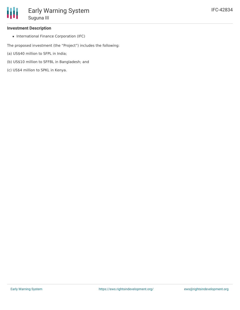### **Investment Description**

• International Finance Corporation (IFC)

The proposed investment (the "Project") includes the following:

- (a) US\$40 million to SFPL in India;
- (b) US\$10 million to SFFBL in Bangladesh; and
- (c) US\$4 million to SPKL in Kenya.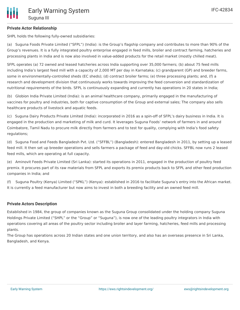# **Private Actor Relationship**

SHPL holds the following fully-owned subsidiaries:

(a) Suguna Foods Private Limited ("SFPL") (India): is the Group's flagship company and contributes to more than 90% of the Group's revenues. It is a fully integrated poultry enterprise engaged in feed mills, broiler and contract farming, hatcheries and processing plants in India and is now also involved in value-added products for the retail market (mostly chilled meat).

SFPL operates (a) 72 owned and leased hatcheries across India supporting over 35,000 farmers; (b) about 75 feed mills including India's largest feed mill with a capacity of 2,000 MT per day in Karnataka; (c) grandparent (GP) and breeder farms, some in environmentally-controlled sheds (EC sheds); (d) contract broiler farms; (e) three processing plants; and, (f) a research and development division that continuously works towards improving the feed conversion and standardization of nutritional requirements of the birds. SFPL is continuously expanding and currently has operations in 20 states in India;

(b) Globion India Private Limited (India): is an animal healthcare company, primarily engaged in the manufacturing of vaccines for poultry and industries, both for captive consumption of the Group and external sales; The company also sells healthcare products of livestock and aquatic feeds.

(c) Suguna Dairy Products Private Limited (India): incorporated in 2016 as a spin-off of SFPL's dairy business in India. It is engaged in the production and marketing of milk and curd. It leverages Suguna Foods' network of farmers in and around Coimbatore, Tamil Nadu to procure milk directly from farmers and to test for quality, complying with India's food safety regulations;

(d) Suguna Food and Feeds Bangladesh Pvt. Ltd. ("SFFBL") (Bangladesh): entered Bangladesh in 2011, by setting up a leased feed mill. It then set up breeder operations and sells farmers a package of feed and day-old chicks. SFFBL now runs 2 leased feed mills, which are operating at full capacity.

(e) Aminovit Feeds Private Limited (Sri Lanka): started its operations in 2011, engaged in the production of poultry feed premix. It procures part of its raw materials from SFPL and exports its premix products back to SFPL and other feed production companies in India; and

(f) Suguna Poultry (Kenya) Limited ("SPKL") (Kenya): established in 2016 to facilitate Suguna's entry into the African market. It is currently a feed manufacturer but now aims to invest in both a breeding facility and an owned feed mill.

## **Private Actors Description**

Established in 1984, the group of companies known as the Suguna Group consolidated under the holding company Suguna Holdings Private Limited ("SHPL" or the "Group" or "Suguna"), is now one of the leading poultry integrators in India with operations covering all areas of the poultry sector including broiler and layer farming, hatcheries, feed mills and processing plants.

The Group has operations across 20 Indian states and one union territory, and also has an overseas presence in Sri Lanka, Bangladesh, and Kenya.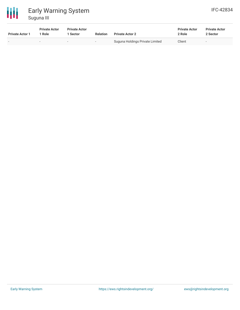

# Early Warning System Suguna III

| <b>IFC-42834</b> |
|------------------|
|------------------|

| <b>Private Actor 1</b>   | <b>Private Actor</b><br>Role | <b>Private Actor</b><br>Sector | <b>Relation</b>          | <b>Private Actor 2</b>          | <b>Private Actor</b><br>2 Role | <b>Private Actor</b><br>2 Sector |  |
|--------------------------|------------------------------|--------------------------------|--------------------------|---------------------------------|--------------------------------|----------------------------------|--|
| $\overline{\phantom{0}}$ |                              |                                | $\overline{\phantom{a}}$ | Suguna Holdings Private Limited | Client                         | $\overline{\phantom{0}}$         |  |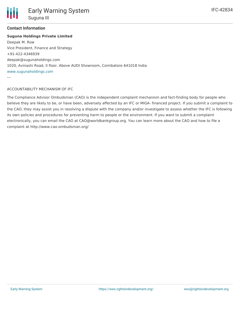

---

### **Contact Information**

### **Suguna Holdings Private Limited**

Deepak M. Row Vice President, Finance and Strategy +91-422-4346939 deepak@sugunaholdings.com 1020, Avinashi Road, II floor, Above AUDI Showroom, Coimbatore 641018 India [www.sugunaholdings.com](http://www.sugunaholdings.com)

### ACCOUNTABILITY MECHANISM OF IFC

The Compliance Advisor Ombudsman (CAO) is the independent complaint mechanism and fact-finding body for people who believe they are likely to be, or have been, adversely affected by an IFC or MIGA- financed project. If you submit a complaint to the CAO, they may assist you in resolving a dispute with the company and/or investigate to assess whether the IFC is following its own policies and procedures for preventing harm to people or the environment. If you want to submit a complaint electronically, you can email the CAO at CAO@worldbankgroup.org. You can learn more about the CAO and how to file a complaint at http://www.cao-ombudsman.org/